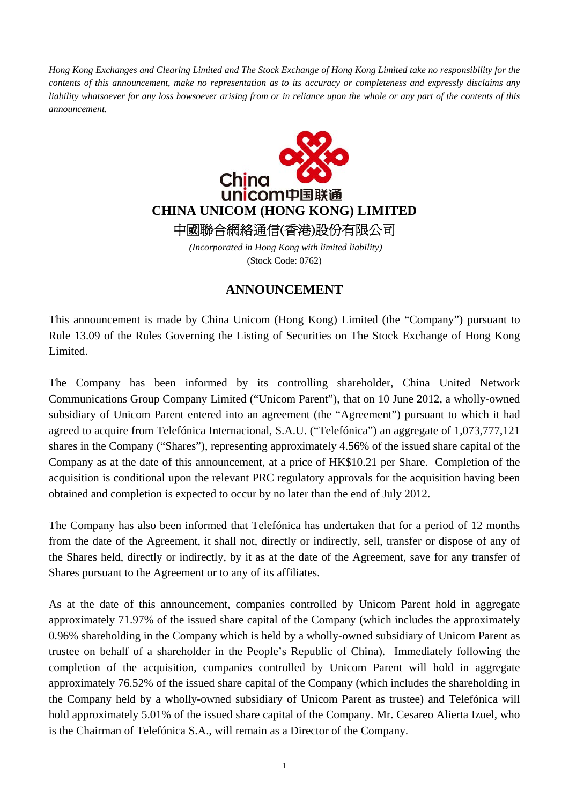*Hong Kong Exchanges and Clearing Limited and The Stock Exchange of Hong Kong Limited take no responsibility for the contents of this announcement, make no representation as to its accuracy or completeness and expressly disclaims any liability whatsoever for any loss howsoever arising from or in reliance upon the whole or any part of the contents of this announcement.* 



 *(Incorporated in Hong Kong with limited liability)*  (Stock Code: 0762)

## **ANNOUNCEMENT**

This announcement is made by China Unicom (Hong Kong) Limited (the "Company") pursuant to Rule 13.09 of the Rules Governing the Listing of Securities on The Stock Exchange of Hong Kong Limited.

The Company has been informed by its controlling shareholder, China United Network Communications Group Company Limited ("Unicom Parent"), that on 10 June 2012, a wholly-owned subsidiary of Unicom Parent entered into an agreement (the "Agreement") pursuant to which it had agreed to acquire from Telefónica Internacional, S.A.U. ("Telefónica") an aggregate of 1,073,777,121 shares in the Company ("Shares"), representing approximately 4.56% of the issued share capital of the Company as at the date of this announcement, at a price of HK\$10.21 per Share. Completion of the acquisition is conditional upon the relevant PRC regulatory approvals for the acquisition having been obtained and completion is expected to occur by no later than the end of July 2012.

The Company has also been informed that Telefónica has undertaken that for a period of 12 months from the date of the Agreement, it shall not, directly or indirectly, sell, transfer or dispose of any of the Shares held, directly or indirectly, by it as at the date of the Agreement, save for any transfer of Shares pursuant to the Agreement or to any of its affiliates.

As at the date of this announcement, companies controlled by Unicom Parent hold in aggregate approximately 71.97% of the issued share capital of the Company (which includes the approximately 0.96% shareholding in the Company which is held by a wholly-owned subsidiary of Unicom Parent as trustee on behalf of a shareholder in the People's Republic of China). Immediately following the completion of the acquisition, companies controlled by Unicom Parent will hold in aggregate approximately 76.52% of the issued share capital of the Company (which includes the shareholding in the Company held by a wholly-owned subsidiary of Unicom Parent as trustee) and Telefónica will hold approximately 5.01% of the issued share capital of the Company. Mr. Cesareo Alierta Izuel, who is the Chairman of Telefónica S.A., will remain as a Director of the Company.